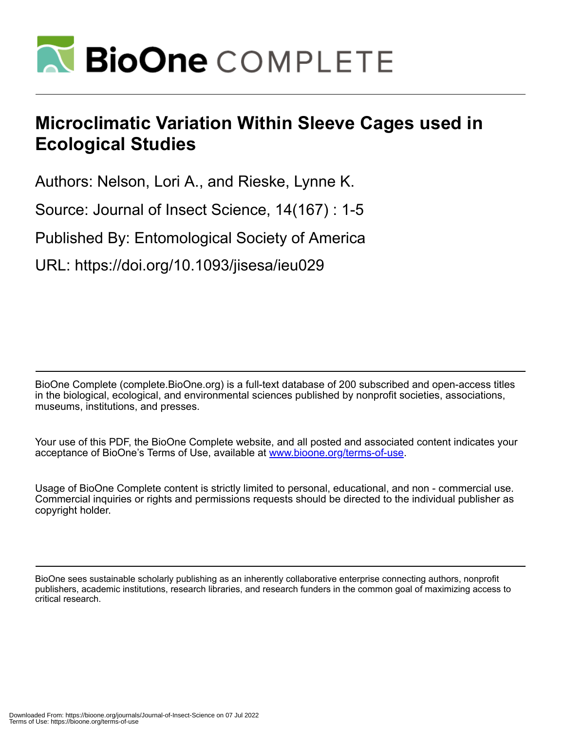

# **Microclimatic Variation Within Sleeve Cages used in Ecological Studies**

Authors: Nelson, Lori A., and Rieske, Lynne K.

Source: Journal of Insect Science, 14(167) : 1-5

Published By: Entomological Society of America

URL: https://doi.org/10.1093/jisesa/ieu029

BioOne Complete (complete.BioOne.org) is a full-text database of 200 subscribed and open-access titles in the biological, ecological, and environmental sciences published by nonprofit societies, associations, museums, institutions, and presses.

Your use of this PDF, the BioOne Complete website, and all posted and associated content indicates your acceptance of BioOne's Terms of Use, available at www.bioone.org/terms-of-use.

Usage of BioOne Complete content is strictly limited to personal, educational, and non - commercial use. Commercial inquiries or rights and permissions requests should be directed to the individual publisher as copyright holder.

BioOne sees sustainable scholarly publishing as an inherently collaborative enterprise connecting authors, nonprofit publishers, academic institutions, research libraries, and research funders in the common goal of maximizing access to critical research.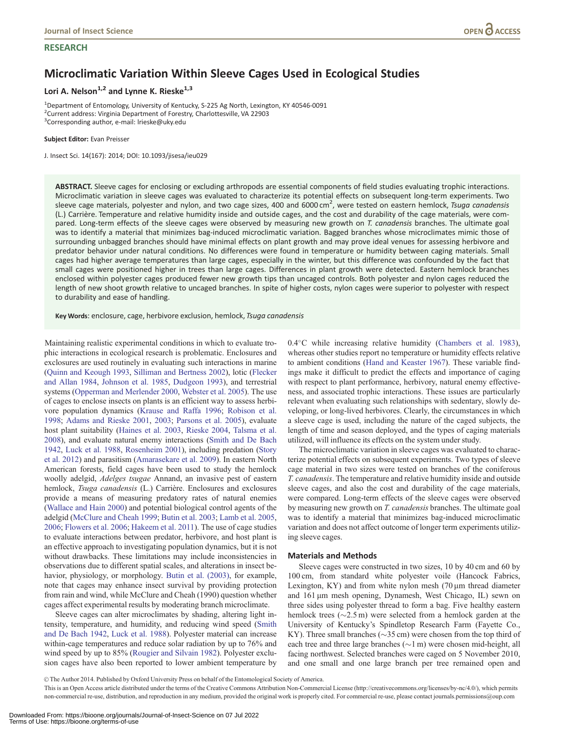#### **RESEARCH**

## Microclimatic Variation Within Sleeve Cages Used in Ecological Studies

### Lori A. Nelson<sup>1,2</sup> and Lynne K. Rieske<sup>1,3</sup>

<sup>1</sup>Department of Entomology, University of Kentucky, S-225 Ag North, Lexington, KY 40546-0091 <sup>2</sup>Current address: Virginia Department of Forestry, Charlottesville, VA 22903 3 Corresponding author, e-mail: lrieske@uky.edu

#### Subject Editor: Evan Preisser

J. Insect Sci. 14(167): 2014; DOI: 10.1093/jisesa/ieu029

ABSTRACT. Sleeve cages for enclosing or excluding arthropods are essential components of field studies evaluating trophic interactions. Microclimatic variation in sleeve cages was evaluated to characterize its potential effects on subsequent long-term experiments. Two sleeve cage materials, polyester and nylon, and two cage sizes, 400 and 6000 cm<sup>2</sup>, were tested on eastern hemlock, Tsuga canadensis (L.) Carrière. Temperature and relative humidity inside and outside cages, and the cost and durability of the cage materials, were compared. Long-term effects of the sleeve cages were observed by measuring new growth on T. canadensis branches. The ultimate goal was to identify a material that minimizes bag-induced microclimatic variation. Bagged branches whose microclimates mimic those of surrounding unbagged branches should have minimal effects on plant growth and may prove ideal venues for assessing herbivore and predator behavior under natural conditions. No differences were found in temperature or humidity between caging materials. Small cages had higher average temperatures than large cages, especially in the winter, but this difference was confounded by the fact that small cages were positioned higher in trees than large cages. Differences in plant growth were detected. Eastern hemlock branches enclosed within polyester cages produced fewer new growth tips than uncaged controls. Both polyester and nylon cages reduced the length of new shoot growth relative to uncaged branches. In spite of higher costs, nylon cages were superior to polyester with respect to durability and ease of handling.

Key Words: enclosure, cage, herbivore exclusion, hemlock, Tsuga canadensis

Maintaining realistic experimental conditions in which to evaluate trophic interactions in ecological research is problematic. Enclosures and exclosures are used routinely in evaluating such interactions in marine ([Quinn and Keough 1993](#page-5-0), [Silliman and Bertness 2002](#page-5-0)), lotic [\(Flecker](#page-4-0) [and Allan 1984](#page-4-0), [Johnson et al. 1985](#page-5-0), [Dudgeon 1993\)](#page-4-0), and terrestrial systems [\(Opperman and Merlender 2000,](#page-5-0) [Webster et al. 2005](#page-5-0)). The use of cages to enclose insects on plants is an efficient way to assess herbivore population dynamics ([Krause and Raffa 1996](#page-5-0); [Robison et al.](#page-5-0) [1998;](#page-5-0) [Adams and Rieske 2001](#page-4-0), [2003;](#page-4-0) [Parsons et al. 2005\)](#page-5-0), evaluate host plant suitability ([Haines et al. 2003](#page-5-0), [Rieske 2004](#page-5-0), [Talsma et al.](#page-5-0) [2008\)](#page-5-0), and evaluate natural enemy interactions ([Smith and De Bach](#page-5-0) [1942,](#page-5-0) [Luck et al. 1988,](#page-5-0) [Rosenheim 2001\)](#page-5-0), including predation ([Story](#page-5-0) [et al. 2012\)](#page-5-0) and parasitism ([Amarasekare et al. 2009\)](#page-4-0). In eastern North American forests, field cages have been used to study the hemlock woolly adelgid, *Adelges tsugae* Annand, an invasive pest of eastern hemlock, Tsuga canadensis (L.) Carrière. Enclosures and exclosures provide a means of measuring predatory rates of natural enemies ([Wallace and Hain 2000\)](#page-5-0) and potential biological control agents of the adelgid [\(McClure and Cheah 1999](#page-5-0); [Butin et al. 2003;](#page-4-0) [Lamb et al. 2005,](#page-5-0) [2006;](#page-5-0) [Flowers et al. 2006;](#page-5-0) [Hakeem et al. 2011\)](#page-5-0). The use of cage studies to evaluate interactions between predator, herbivore, and host plant is an effective approach to investigating population dynamics, but it is not without drawbacks. These limitations may include inconsistencies in observations due to different spatial scales, and alterations in insect behavior, physiology, or morphology. [Butin et al. \(2003\)](#page-4-0), for example, note that cages may enhance insect survival by providing protection from rain and wind, while McClure and Cheah (1990) question whether cages affect experimental results by moderating branch microclimate.

Sleeve cages can alter microclimates by shading, altering light intensity, temperature, and humidity, and reducing wind speed ([Smith](#page-5-0) [and De Bach 1942,](#page-5-0) [Luck et al. 1988](#page-5-0)). Polyester material can increase within-cage temperatures and reduce solar radiation by up to 76% and wind speed by up to 85% ([Rougier and Silvain 1982](#page-5-0)). Polyester exclusion cages have also been reported to lower ambient temperature by

0.4°C while increasing relative humidity [\(Chambers et al. 1983\)](#page-4-0), whereas other studies report no temperature or humidity effects relative to ambient conditions ([Hand and Keaster 1967\)](#page-5-0). These variable findings make it difficult to predict the effects and importance of caging with respect to plant performance, herbivory, natural enemy effectiveness, and associated trophic interactions. These issues are particularly relevant when evaluating such relationships with sedentary, slowly developing, or long-lived herbivores. Clearly, the circumstances in which a sleeve cage is used, including the nature of the caged subjects, the length of time and season deployed, and the types of caging materials utilized, will influence its effects on the system under study.

The microclimatic variation in sleeve cages was evaluated to characterize potential effects on subsequent experiments. Two types of sleeve cage material in two sizes were tested on branches of the coniferous T. canadensis. The temperature and relative humidity inside and outside sleeve cages, and also the cost and durability of the cage materials, were compared. Long-term effects of the sleeve cages were observed by measuring new growth on *T. canadensis* branches. The ultimate goal was to identify a material that minimizes bag-induced microclimatic variation and does not affect outcome of longer term experiments utilizing sleeve cages.

#### Materials and Methods

Sleeve cages were constructed in two sizes, 10 by 40 cm and 60 by 100 cm, from standard white polyester voile (Hancock Fabrics, Lexington,  $KY$ ) and from white nylon mesh (70  $\mu$ m thread diameter and 161 µm mesh opening, Dynamesh, West Chicago, IL) sewn on three sides using polyester thread to form a bag. Five healthy eastern hemlock trees  $(\sim 2.5 \,\text{m})$  were selected from a hemlock garden at the University of Kentucky's Spindletop Research Farm (Fayette Co., KY). Three small branches ( $\sim$ 35 cm) were chosen from the top third of each tree and three large branches  $(\sim 1 \text{ m})$  were chosen mid-height, all facing northwest. Selected branches were caged on 5 November 2010, and one small and one large branch per tree remained open and

V<sup>C</sup> The Author 2014. Published by Oxford University Press on behalf of the Entomological Society of America.

This is an Open Access article distributed under the terms of the Creative Commons Attribution Non-Commercial License (http://creativecommons.org/licenses/by-nc/4.0/), which permits non-commercial re-use, distribution, and reproduction in any medium, provided the original work is properly cited. For commercial re-use, please contact journals.permissions@oup.com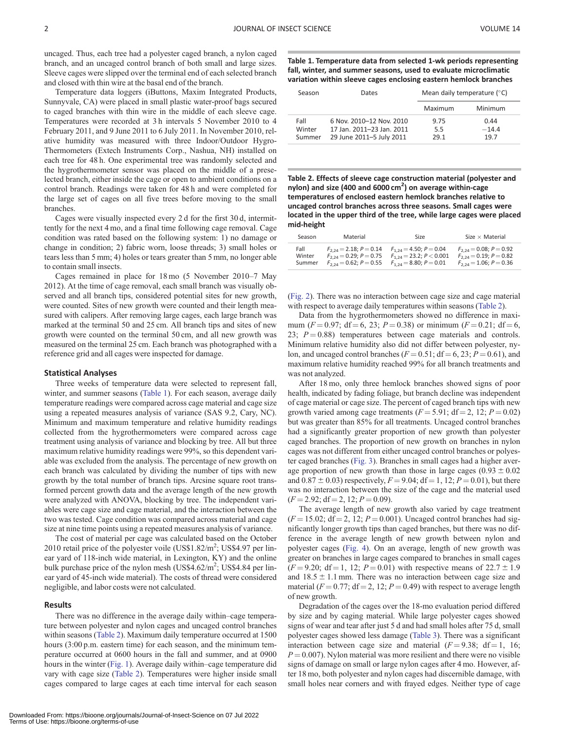uncaged. Thus, each tree had a polyester caged branch, a nylon caged branch, and an uncaged control branch of both small and large sizes. Sleeve cages were slipped over the terminal end of each selected branch and closed with thin wire at the basal end of the branch.

Temperature data loggers (iButtons, Maxim Integrated Products, Sunnyvale, CA) were placed in small plastic water-proof bags secured to caged branches with thin wire in the middle of each sleeve cage. Temperatures were recorded at 3 h intervals 5 November 2010 to 4 February 2011, and 9 June 2011 to 6 July 2011. In November 2010, relative humidity was measured with three Indoor/Outdoor Hygro-Thermometers (Extech Instruments Corp., Nashua, NH) installed on each tree for 48 h. One experimental tree was randomly selected and the hygrothermometer sensor was placed on the middle of a preselected branch, either inside the cage or open to ambient conditions on a control branch. Readings were taken for 48 h and were completed for the large set of cages on all five trees before moving to the small branches.

Cages were visually inspected every 2 d for the first 30 d, intermittently for the next 4 mo, and a final time following cage removal. Cage condition was rated based on the following system: 1) no damage or change in condition; 2) fabric worn, loose threads; 3) small holes or tears less than 5 mm; 4) holes or tears greater than 5 mm, no longer able to contain small insects.

Cages remained in place for 18 mo (5 November 2010–7 May 2012). At the time of cage removal, each small branch was visually observed and all branch tips, considered potential sites for new growth, were counted. Sites of new growth were counted and their length measured with calipers. After removing large cages, each large branch was marked at the terminal 50 and 25 cm. All branch tips and sites of new growth were counted on the terminal 50 cm, and all new growth was measured on the terminal 25 cm. Each branch was photographed with a reference grid and all cages were inspected for damage.

#### Statistical Analyses

Three weeks of temperature data were selected to represent fall, winter, and summer seasons (Table 1). For each season, average daily temperature readings were compared across cage material and cage size using a repeated measures analysis of variance (SAS 9.2, Cary, NC). Minimum and maximum temperature and relative humidity readings collected from the hygrothermometers were compared across cage treatment using analysis of variance and blocking by tree. All but three maximum relative humidity readings were 99%, so this dependent variable was excluded from the analysis. The percentage of new growth on each branch was calculated by dividing the number of tips with new growth by the total number of branch tips. Arcsine square root transformed percent growth data and the average length of the new growth were analyzed with ANOVA, blocking by tree. The independent variables were cage size and cage material, and the interaction between the two was tested. Cage condition was compared across material and cage size at nine time points using a repeated measures analysis of variance.

The cost of material per cage was calculated based on the October 2010 retail price of the polyester voile  $(US$1.82/m^2; US$4.97 per lin$ ear yard of 118-inch wide material, in Lexington, KY) and the online bulk purchase price of the nylon mesh  $(US\frac{54.62}{m^2}; \frac{US\frac{54.84}{m}}{m})$ ear yard of 45-inch wide material). The costs of thread were considered negligible, and labor costs were not calculated.

#### Results

There was no difference in the average daily within–cage temperature between polyester and nylon cages and uncaged control branches within seasons (Table 2). Maximum daily temperature occurred at 1500 hours (3:00 p.m. eastern time) for each season, and the minimum temperature occurred at 0600 hours in the fall and summer, and at 0900 hours in the winter [\(Fig. 1](#page-3-0)). Average daily within–cage temperature did vary with cage size (Table 2). Temperatures were higher inside small cages compared to large cages at each time interval for each season

Table 1. Temperature data from selected 1-wk periods representing fall, winter, and summer seasons, used to evaluate microclimatic variation within sleeve cages enclosing eastern hemlock branches

| Season                   | Dates                                                                             | Mean daily temperature ( $\degree$ C) |                         |  |  |  |
|--------------------------|-----------------------------------------------------------------------------------|---------------------------------------|-------------------------|--|--|--|
|                          |                                                                                   | Maximum                               | Minimum                 |  |  |  |
| Fall<br>Winter<br>Summer | 6 Nov. 2010-12 Nov. 2010<br>17 Jan. 2011-23 Jan. 2011<br>29 June 2011-5 July 2011 | 9.75<br>5.5<br>29.1                   | 0.44<br>$-14.4$<br>19.7 |  |  |  |

Table 2. Effects of sleeve cage construction material (polyester and nylon) and size (400 and 6000 cm<sup>2</sup>) on average within-cage temperatures of enclosed eastern hemlock branches relative to uncaged control branches across three seasons. Small cages were located in the upper third of the tree, while large cages were placed mid-height

| Season | Material                    | Size                         | Size $\times$ Material      |
|--------|-----------------------------|------------------------------|-----------------------------|
| Fall   | $F_{2,24} = 2.18; P = 0.14$ | $F_{1,24} = 4.50; P = 0.04$  | $F_{2,24} = 0.08; P = 0.92$ |
| Winter | $F_{2,24} = 0.29; P = 0.75$ | $F_{1,24} = 23.2; P < 0.001$ | $F_{2,24} = 0.19; P = 0.82$ |
| Summer | $F_{2,24} = 0.62; P = 0.55$ | $F_{1,24} = 8.80; P = 0.01$  | $F_{2,24} = 1.06; P = 0.36$ |

([Fig. 2\)](#page-3-0). There was no interaction between cage size and cage material with respect to average daily temperatures within seasons (Table 2).

Data from the hygrothermometers showed no difference in maximum ( $F = 0.97$ ; df = 6, 23; P = 0.38) or minimum ( $F = 0.21$ ; df = 6, 23;  $P = 0.88$ ) temperatures between cage materials and controls. Minimum relative humidity also did not differ between polyester, nylon, and uncaged control branches ( $F = 0.51$ ; df = 6, 23; P = 0.61), and maximum relative humidity reached 99% for all branch treatments and was not analyzed.

After 18 mo, only three hemlock branches showed signs of poor health, indicated by fading foliage, but branch decline was independent of cage material or cage size. The percent of caged branch tips with new growth varied among cage treatments  $(F = 5.91; df = 2, 12; P = 0.02)$ but was greater than 85% for all treatments. Uncaged control branches had a significantly greater proportion of new growth than polyester caged branches. The proportion of new growth on branches in nylon cages was not different from either uncaged control branches or polyester caged branches [\(Fig. 3](#page-4-0)). Branches in small cages had a higher average proportion of new growth than those in large cages  $(0.93 \pm 0.02)$ and  $0.87 \pm 0.03$ ) respectively,  $F = 9.04$ ; df = 1, 12;  $P = 0.01$ ), but there was no interaction between the size of the cage and the material used  $(F = 2.92; df = 2, 12; P = 0.09).$ 

The average length of new growth also varied by cage treatment  $(F = 15.02; df = 2, 12; P = 0.001)$ . Uncaged control branches had significantly longer growth tips than caged branches, but there was no difference in the average length of new growth between nylon and polyester cages ([Fig. 4\)](#page-4-0). On an average, length of new growth was greater on branches in large cages compared to branches in small cages  $(F = 9.20; df = 1, 12; P = 0.01)$  with respective means of 22.7  $\pm$  1.9 and  $18.5 \pm 1.1$  mm. There was no interaction between cage size and material ( $F = 0.77$ ; df = 2, 12;  $P = 0.49$ ) with respect to average length of new growth.

Degradation of the cages over the 18-mo evaluation period differed by size and by caging material. While large polyester cages showed signs of wear and tear after just 5 d and had small holes after 75 d, small polyester cages showed less damage [\(Table 3\)](#page-4-0). There was a significant interaction between cage size and material  $(F = 9.38; df = 1, 16;$  $P = 0.007$ ). Nylon material was more resilient and there were no visible signs of damage on small or large nylon cages after 4 mo. However, after 18 mo, both polyester and nylon cages had discernible damage, with small holes near corners and with frayed edges. Neither type of cage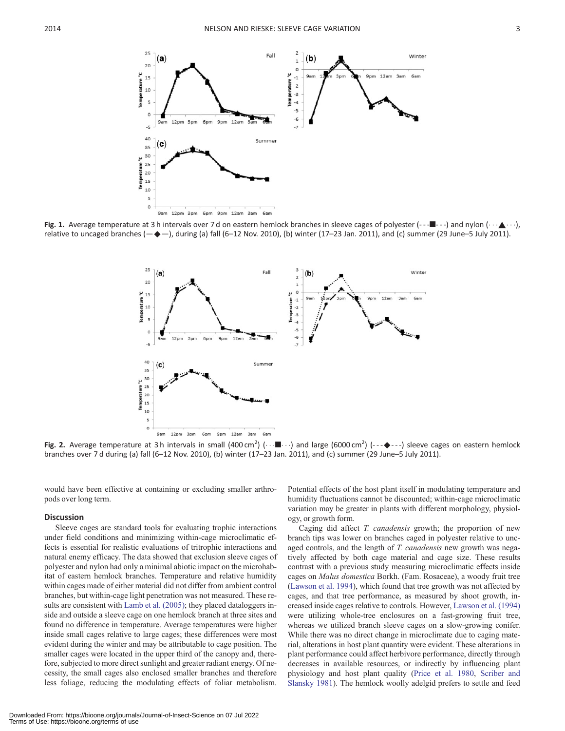<span id="page-3-0"></span>

Fig. 1. Average temperature at 3 h intervals over 7 d on eastern hemlock branches in sleeve cages of polyester (--- $\blacksquare$ ---) and nylon ( $\cdots \blacktriangle \cdots$ ), relative to uncaged branches  $(-\rightarrow -)$ , during (a) fall (6–12 Nov. 2010), (b) winter (17–23 Jan. 2011), and (c) summer (29 June–5 July 2011).



Fig. 2. Average temperature at 3h intervals in small (400 cm<sup>2</sup>) ( $\cdots$   $\blacksquare \cdots$ ) and large (6000 cm<sup>2</sup>) (--- $\blacklozenge$ ---) sleeve cages on eastern hemlock branches over 7 d during (a) fall (6–12 Nov. 2010), (b) winter (17–23 Jan. 2011), and (c) summer (29 June–5 July 2011).

would have been effective at containing or excluding smaller arthropods over long term.

#### **Discussion**

Sleeve cages are standard tools for evaluating trophic interactions under field conditions and minimizing within-cage microclimatic effects is essential for realistic evaluations of tritrophic interactions and natural enemy efficacy. The data showed that exclusion sleeve cages of polyester and nylon had only a minimal abiotic impact on the microhabitat of eastern hemlock branches. Temperature and relative humidity within cages made of either material did not differ from ambient control branches, but within-cage light penetration was not measured. These results are consistent with [Lamb et al. \(2005\)](#page-5-0); they placed dataloggers inside and outside a sleeve cage on one hemlock branch at three sites and found no difference in temperature. Average temperatures were higher inside small cages relative to large cages; these differences were most evident during the winter and may be attributable to cage position. The smaller cages were located in the upper third of the canopy and, therefore, subjected to more direct sunlight and greater radiant energy. Of necessity, the small cages also enclosed smaller branches and therefore less foliage, reducing the modulating effects of foliar metabolism.

Potential effects of the host plant itself in modulating temperature and humidity fluctuations cannot be discounted; within-cage microclimatic variation may be greater in plants with different morphology, physiology, or growth form.

Caging did affect T. canadensis growth; the proportion of new branch tips was lower on branches caged in polyester relative to uncaged controls, and the length of T. canadensis new growth was negatively affected by both cage material and cage size. These results contrast with a previous study measuring microclimatic effects inside cages on Malus domestica Borkh. (Fam. Rosaceae), a woody fruit tree ([Lawson et al. 1994\)](#page-5-0), which found that tree growth was not affected by cages, and that tree performance, as measured by shoot growth, increased inside cages relative to controls. However, [Lawson et al. \(1994\)](#page-5-0) were utilizing whole-tree enclosures on a fast-growing fruit tree, whereas we utilized branch sleeve cages on a slow-growing conifer. While there was no direct change in microclimate due to caging material, alterations in host plant quantity were evident. These alterations in plant performance could affect herbivore performance, directly through decreases in available resources, or indirectly by influencing plant physiology and host plant quality ([Price et al. 1980,](#page-5-0) [Scriber and](#page-5-0) [Slansky 1981\)](#page-5-0). The hemlock woolly adelgid prefers to settle and feed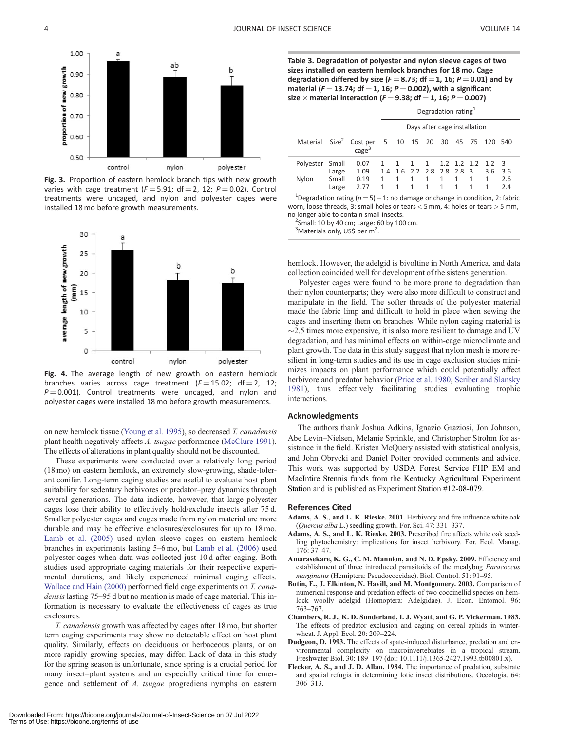<span id="page-4-0"></span>

Fig. 3. Proportion of eastern hemlock branch tips with new growth varies with cage treatment ( $F = 5.91$ ; df = 2, 12; P = 0.02). Control treatments were uncaged, and nylon and polyester cages were installed 18 mo before growth measurements.



Fig. 4. The average length of new growth on eastern hemlock branches varies across cage treatment  $(F = 15.02; df = 2, 12;$  $P = 0.001$ ). Control treatments were uncaged, and nylon and polyester cages were installed 18 mo before growth measurements.

on new hemlock tissue [\(Young et al. 1995](#page-5-0)), so decreased T. canadensis plant health negatively affects A. tsugae performance ([McClure 1991\)](#page-5-0). The effects of alterations in plant quality should not be discounted.

These experiments were conducted over a relatively long period (18 mo) on eastern hemlock, an extremely slow-growing, shade-tolerant conifer. Long-term caging studies are useful to evaluate host plant suitability for sedentary herbivores or predator–prey dynamics through several generations. The data indicate, however, that large polyester cages lose their ability to effectively hold/exclude insects after 75 d. Smaller polyester cages and cages made from nylon material are more durable and may be effective enclosures/exclosures for up to 18 mo. [Lamb et al. \(2005\)](#page-5-0) used nylon sleeve cages on eastern hemlock branches in experiments lasting 5–6 mo, but [Lamb et al. \(2006\)](#page-5-0) used polyester cages when data was collected just 10 d after caging. Both studies used appropriate caging materials for their respective experimental durations, and likely experienced minimal caging effects. [Wallace and Hain \(2000\)](#page-5-0) performed field cage experiments on T. canadensis lasting 75–95 d but no mention is made of cage material. This information is necessary to evaluate the effectiveness of cages as true exclosures.

T. canadensis growth was affected by cages after 18 mo, but shorter term caging experiments may show no detectable effect on host plant quality. Similarly, effects on deciduous or herbaceous plants, or on more rapidly growing species, may differ. Lack of data in this study for the spring season is unfortunate, since spring is a crucial period for many insect–plant systems and an especially critical time for emergence and settlement of A. tsugae progrediens nymphs on eastern

Table 3. Degradation of polyester and nylon sleeve cages of two sizes installed on eastern hemlock branches for 18 mo. Cage degradation differed by size ( $F = 8.73$ ; df  $= 1$ , 16;  $P = 0.01$ ) and by material ( $F = 13.74$ ; df = 1, 16;  $P = 0.002$ ), with a significant size  $\times$  material interaction ( $F = 9.38$ ; df = 1, 16; P = 0.007)

|                 |                |                                                                                      | Degradation rating <sup>1</sup> |                     |        |                   |                           |                   |                         |     |           |
|-----------------|----------------|--------------------------------------------------------------------------------------|---------------------------------|---------------------|--------|-------------------|---------------------------|-------------------|-------------------------|-----|-----------|
|                 |                |                                                                                      | Days after cage installation    |                     |        |                   |                           |                   |                         |     |           |
|                 |                | Material Size <sup>2</sup> Cost per 5 10 15 20 30 45 75 120 540<br>cage <sup>3</sup> |                                 |                     |        |                   |                           |                   |                         |     |           |
| Polyester Small | Large          | 0.07<br>1.09                                                                         |                                 | 1 1 1               |        | 1                 | 1.4 1.6 2.2 2.8 2.8 2.8 3 |                   | $1.2$ $1.2$ $1.2$ $1.2$ | 3.6 | -3<br>3.6 |
| Nylon           | Small<br>Large | 0.19<br>2 77                                                                         | $\mathbf{1}$<br>1               | $\overline{1}$<br>1 | 1<br>1 | $\mathbf{1}$<br>1 | $\mathbf{1}$<br>1         | $\mathbf{1}$<br>1 | $\mathbf{1}$            |     | 2.6<br>24 |

<sup>1</sup>Degradation rating ( $n = 5$ ) – 1: no damage or change in condition, 2: fabric worn, loose threads, 3: small holes or tears < 5 mm, 4: holes or tears > 5 mm, no longer able to contain small insects. <sup>2</sup>

 $2$ Small: 10 by 40 cm; Large: 60 by 100 cm.

<sup>3</sup>Materials only, US\$ per m<sup>2</sup>.

hemlock. However, the adelgid is bivoltine in North America, and data collection coincided well for development of the sistens generation.

Polyester cages were found to be more prone to degradation than their nylon counterparts; they were also more difficult to construct and manipulate in the field. The softer threads of the polyester material made the fabric limp and difficult to hold in place when sewing the cages and inserting them on branches. While nylon caging material is  $\sim$ 2.5 times more expensive, it is also more resilient to damage and UV degradation, and has minimal effects on within-cage microclimate and plant growth. The data in this study suggest that nylon mesh is more resilient in long-term studies and its use in cage exclusion studies minimizes impacts on plant performance which could potentially affect herbivore and predator behavior [\(Price et al. 1980,](#page-5-0) [Scriber and Slansky](#page-5-0) [1981](#page-5-0)), thus effectively facilitating studies evaluating trophic interactions.

#### Acknowledgments

The authors thank Joshua Adkins, Ignazio Graziosi, Jon Johnson, Abe Levin–Nielsen, Melanie Sprinkle, and Christopher Strohm for assistance in the field. Kristen McQuery assisted with statistical analysis, and John Obrycki and Daniel Potter provided comments and advice. This work was supported by USDA Forest Service FHP EM and MacIntire Stennis funds from the Kentucky Agricultural Experiment Station and is published as Experiment Station #12-08-079.

#### References Cited

- Adams, A. S., and L. K. Rieske. 2001. Herbivory and fire influence white oak (Quercus alba L.) seedling growth. For. Sci. 47: 331–337.
- Adams, A. S., and L. K. Rieske. 2003. Prescribed fire affects white oak seedling phytochemistry: implications for insect herbivory. For. Ecol. Manag. 176: 37–47.
- Amarasekare, K. G., C. M. Mannion, and N. D. Epsky. 2009. Efficiency and establishment of three introduced parasitoids of the mealybug Paracoccus marginatus (Hemiptera: Pseudococcidae). Biol. Control. 51: 91–95.
- Butin, E., J. Elkinton, N. Havill, and M. Montgomery. 2003. Comparison of numerical response and predation effects of two coccinellid species on hemlock woolly adelgid (Homoptera: Adelgidae). J. Econ. Entomol. 96: 763–767.
- Chambers, R. J., K. D. Sunderland, I. J. Wyatt, and G. P. Vickerman. 1983. The effects of predator exclusion and caging on cereal aphids in winterwheat. J. Appl. Ecol. 20: 209–224.
- Dudgeon, D. 1993. The effects of spate-induced disturbance, predation and environmental complexity on macroinvertebrates in a tropical stream. Freshwater Biol. 30: 189–197 (doi: 10.1111/j.1365-2427.1993.tb00801.x).
- Flecker, A. S., and J. D. Allan. 1984. The importance of predation, substrate and spatial refugia in determining lotic insect distributions. Oecologia. 64: 306–313.